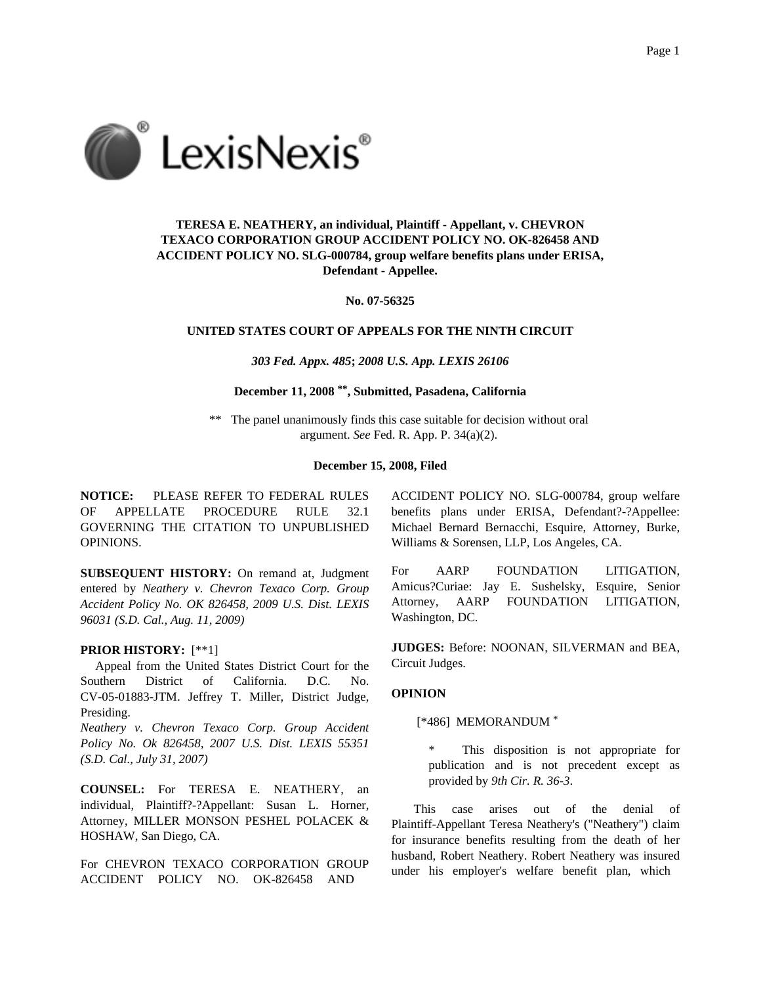

# **TERESA E. NEATHERY, an individual, Plaintiff - Appellant, v. CHEVRON TEXACO CORPORATION GROUP ACCIDENT POLICY NO. OK-826458 AND ACCIDENT POLICY NO. SLG-000784, group welfare benefits plans under ERISA, Defendant - Appellee.**

**No. 07-56325**

### **UNITED STATES COURT OF APPEALS FOR THE NINTH CIRCUIT**

# *303 Fed. Appx. 485***;** *2008 U.S. App. LEXIS 26106*

# **December 11, 2008 \*\*, Submitted, Pasadena, California**

\*\* The panel unanimously finds this case suitable for decision without oral argument. *See* Fed. R. App. P. 34(a)(2).

#### **December 15, 2008, Filed**

**NOTICE:** PLEASE REFER TO FEDERAL RULES OF APPELLATE PROCEDURE RULE 32.1 GOVERNING THE CITATION TO UNPUBLISHED OPINIONS.

**SUBSEQUENT HISTORY:** On remand at, Judgment entered by *Neathery v. Chevron Texaco Corp. Group Accident Policy No. OK 826458, 2009 U.S. Dist. LEXIS 96031 (S.D. Cal., Aug. 11, 2009)*

# **PRIOR HISTORY:** [\*\*1]

Appeal from the United States District Court for the Southern District of California. D.C. No. CV-05-01883-JTM. Jeffrey T. Miller, District Judge, Presiding.

*Neathery v. Chevron Texaco Corp. Group Accident Policy No. Ok 826458, 2007 U.S. Dist. LEXIS 55351 (S.D. Cal., July 31, 2007)*

**COUNSEL:** For TERESA E. NEATHERY, an individual, Plaintiff?-?Appellant: Susan L. Horner, Attorney, MILLER MONSON PESHEL POLACEK & HOSHAW, San Diego, CA.

For CHEVRON TEXACO CORPORATION GROUP ACCIDENT POLICY NO. OK-826458 AND

ACCIDENT POLICY NO. SLG-000784, group welfare benefits plans under ERISA, Defendant?-?Appellee: Michael Bernard Bernacchi, Esquire, Attorney, Burke, Williams & Sorensen, LLP, Los Angeles, CA.

For AARP FOUNDATION LITIGATION, Amicus?Curiae: Jay E. Sushelsky, Esquire, Senior Attorney, AARP FOUNDATION LITIGATION, Washington, DC.

**JUDGES:** Before: NOONAN, SILVERMAN and BEA, Circuit Judges.

### **OPINION**

# [\*486] MEMORANDUM \*

\* This disposition is not appropriate for publication and is not precedent except as provided by *9th Cir. R. 36-3*.

This case arises out of the denial of Plaintiff-Appellant Teresa Neathery's ("Neathery") claim for insurance benefits resulting from the death of her husband, Robert Neathery. Robert Neathery was insured under his employer's welfare benefit plan, which